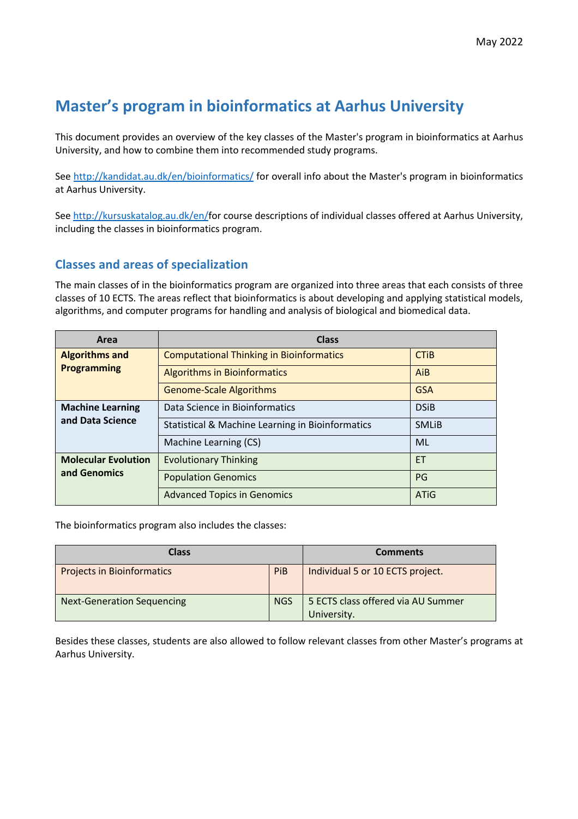## **Master's program in bioinformatics at Aarhus University**

This document provides an overview of the key classes of the Master's program in bioinformatics at Aarhus University, and how to combine them into recommended study programs.

See http://kandidat.au.dk/en/bioinformatics/ for overall info about the Master's program in bioinformatics at Aarhus University.

See http://kursuskatalog.au.dk/en/for course descriptions of individual classes offered at Aarhus University, including the classes in bioinformatics program.

## **Classes and areas of specialization**

The main classes of in the bioinformatics program are organized into three areas that each consists of three classes of 10 ECTS. The areas reflect that bioinformatics is about developing and applying statistical models, algorithms, and computer programs for handling and analysis of biological and biomedical data.

| Area                                        | <b>Class</b>                                                |              |  |
|---------------------------------------------|-------------------------------------------------------------|--------------|--|
| <b>Algorithms and</b>                       | <b>Computational Thinking in Bioinformatics</b>             | <b>CTIB</b>  |  |
| <b>Programming</b>                          | <b>Algorithms in Bioinformatics</b>                         | AiB          |  |
|                                             | <b>Genome-Scale Algorithms</b>                              | <b>GSA</b>   |  |
| <b>Machine Learning</b><br>and Data Science | Data Science in Bioinformatics                              | <b>DSiB</b>  |  |
|                                             | <b>Statistical &amp; Machine Learning in Bioinformatics</b> | <b>SMLIB</b> |  |
|                                             | Machine Learning (CS)                                       | ML           |  |
| <b>Molecular Evolution</b><br>and Genomics  | <b>Evolutionary Thinking</b>                                | ET           |  |
|                                             | <b>Population Genomics</b>                                  | PG           |  |
|                                             | <b>Advanced Topics in Genomics</b>                          | <b>ATiG</b>  |  |

The bioinformatics program also includes the classes:

| Class                             |            | <b>Comments</b>                                   |  |
|-----------------------------------|------------|---------------------------------------------------|--|
| <b>Projects in Bioinformatics</b> | PiB        | Individual 5 or 10 ECTS project.                  |  |
| <b>Next-Generation Sequencing</b> | <b>NGS</b> | 5 ECTS class offered via AU Summer<br>University. |  |

Besides these classes, students are also allowed to follow relevant classes from other Master's programs at Aarhus University.